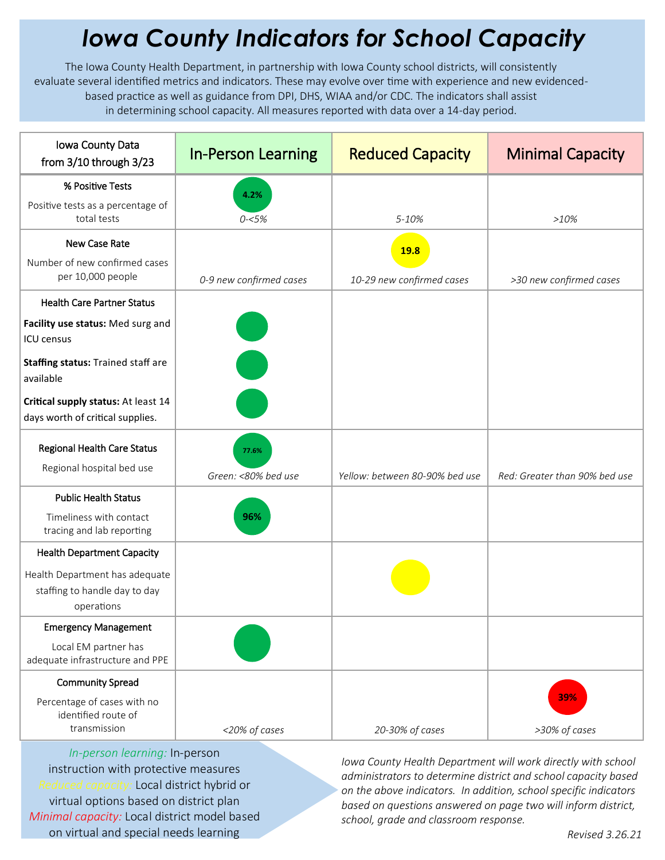## *Iowa County Indicators for School Capacity*

The Iowa County Health Department, in partnership with Iowa County school districts, will consistently evaluate several identified metrics and indicators. These may evolve over time with experience and new evidencedbased practice as well as guidance from DPI, DHS, WIAA and/or CDC. The indicators shall assist in determining school capacity. All measures reported with data over a 14-day period.

| Iowa County Data<br>from 3/10 through 3/23                                    | <b>In-Person Learning</b>    | <b>Reduced Capacity</b>        | <b>Minimal Capacity</b>       |
|-------------------------------------------------------------------------------|------------------------------|--------------------------------|-------------------------------|
| % Positive Tests                                                              | 4.2%                         |                                |                               |
| Positive tests as a percentage of<br>total tests                              | $0 - 5%$                     | 5-10%                          | >10%                          |
| New Case Rate                                                                 |                              | <b>19.8</b>                    |                               |
| Number of new confirmed cases<br>per 10,000 people                            | 0-9 new confirmed cases      | 10-29 new confirmed cases      | >30 new confirmed cases       |
| <b>Health Care Partner Status</b>                                             |                              |                                |                               |
| Facility use status: Med surg and<br>ICU census                               |                              |                                |                               |
| Staffing status: Trained staff are<br>available                               |                              |                                |                               |
| Critical supply status: At least 14<br>days worth of critical supplies.       |                              |                                |                               |
| <b>Regional Health Care Status</b><br>Regional hospital bed use               | 77.6%<br>Green: <80% bed use | Yellow: between 80-90% bed use | Red: Greater than 90% bed use |
| <b>Public Health Status</b>                                                   |                              |                                |                               |
| Timeliness with contact<br>tracing and lab reporting                          | 96%                          |                                |                               |
| <b>Health Department Capacity</b>                                             |                              |                                |                               |
| Health Department has adequate<br>staffing to handle day to day<br>operations |                              |                                |                               |
| <b>Emergency Management</b>                                                   |                              |                                |                               |
| Local EM partner has<br>adequate infrastructure and PPE                       |                              |                                |                               |
| <b>Community Spread</b>                                                       |                              |                                |                               |
| Percentage of cases with no<br>identified route of<br>transmission            | <20% of cases                | 20-30% of cases                | 39%<br>>30% of cases          |

*In-person learning:* In-person instruction with protective measures *Reduced capacity:* Local district hybrid or virtual options based on district plan *Minimal capacity:* Local district model based on virtual and special needs learning

*Iowa County Health Department will work directly with school administrators to determine district and school capacity based on the above indicators. In addition, school specific indicators based on questions answered on page two will inform district, school, grade and classroom response.*